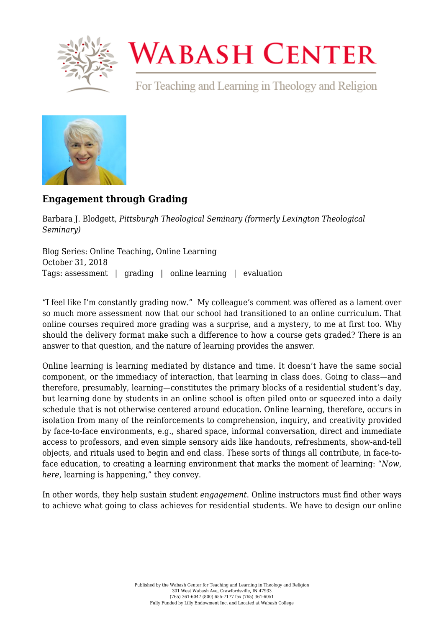

## **WABASH CENTER**

For Teaching and Learning in Theology and Religion



## **[Engagement through Grading](https://www.wabashcenter.wabash.edu/2018/10/engagement-through-grading/)**

Barbara J. Blodgett, *Pittsburgh Theological Seminary (formerly Lexington Theological Seminary)*

Blog Series: Online Teaching, Online Learning October 31, 2018 Tags: assessment | grading | online learning | evaluation

"I feel like I'm constantly grading now." My colleague's comment was offered as a lament over so much more assessment now that our school had transitioned to an online curriculum. That online courses required more grading was a surprise, and a mystery, to me at first too. Why should the delivery format make such a difference to how a course gets graded? There is an answer to that question, and the nature of learning provides the answer.

Online learning is learning mediated by distance and time. It doesn't have the same social component, or the immediacy of interaction, that learning in class does. Going to class—and therefore, presumably, learning—constitutes the primary blocks of a residential student's day, but learning done by students in an online school is often piled onto or squeezed into a daily schedule that is not otherwise centered around education. Online learning, therefore, occurs in isolation from many of the reinforcements to comprehension, inquiry, and creativity provided by face-to-face environments, e.g., shared space, informal conversation, direct and immediate access to professors, and even simple sensory aids like handouts, refreshments, show-and-tell objects, and rituals used to begin and end class. These sorts of things all contribute, in face-toface education, to creating a learning environment that marks the moment of learning: "*Now*, *here*, learning is happening," they convey.

In other words, they help sustain student *engagement*. Online instructors must find other ways to achieve what going to class achieves for residential students. We have to design our online